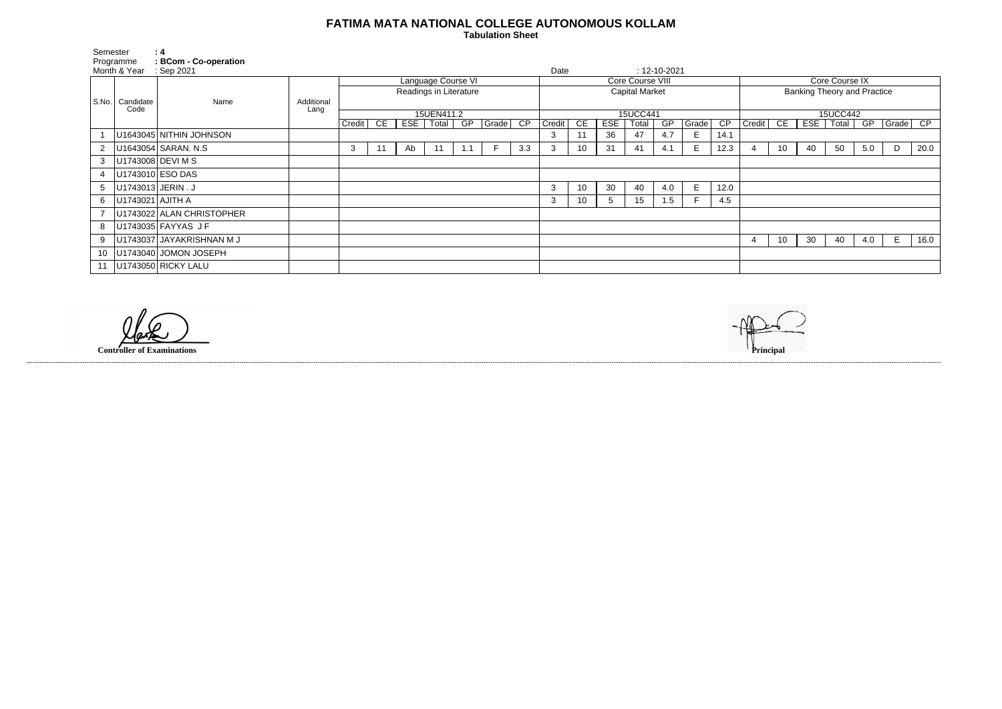## **FATIMA MATA NATIONAL COLLEGE AUTONOMOUS KOLLAM**

 **Tabulation Sheet** 

| <b>Core Course IX</b>              |                                          |    |    |     |   |      |  |  |  |  |  |  |  |
|------------------------------------|------------------------------------------|----|----|-----|---|------|--|--|--|--|--|--|--|
| <b>Banking Theory and Practice</b> |                                          |    |    |     |   |      |  |  |  |  |  |  |  |
|                                    |                                          |    |    |     |   |      |  |  |  |  |  |  |  |
|                                    |                                          |    |    |     |   |      |  |  |  |  |  |  |  |
| 15UCC442<br>$\overline{CP}$        |                                          |    |    |     |   |      |  |  |  |  |  |  |  |
| Credit                             | CE<br><b>ESE</b><br>GP<br>Total<br>Grade |    |    |     |   |      |  |  |  |  |  |  |  |
|                                    |                                          |    |    |     |   |      |  |  |  |  |  |  |  |
| 4                                  | 10                                       | 40 | 50 | 5.0 | D | 20.0 |  |  |  |  |  |  |  |
|                                    |                                          |    |    |     |   |      |  |  |  |  |  |  |  |
|                                    |                                          |    |    |     |   |      |  |  |  |  |  |  |  |
|                                    |                                          |    |    |     |   |      |  |  |  |  |  |  |  |
|                                    |                                          |    |    |     |   |      |  |  |  |  |  |  |  |
|                                    |                                          |    |    |     |   |      |  |  |  |  |  |  |  |
|                                    |                                          |    |    |     |   |      |  |  |  |  |  |  |  |
| 4                                  | 10                                       | 30 | 40 | 4.0 | Е | 16.0 |  |  |  |  |  |  |  |
|                                    |                                          |    |    |     |   |      |  |  |  |  |  |  |  |
|                                    |                                          |    |    |     |   |      |  |  |  |  |  |  |  |

| Semester        | Programme<br>Month & Year | $\therefore$ 4<br><b>BCom - Co-operation</b><br>Sep 2021 |            |                        |    |     |       |          |          |                       | Date   |    |            |       | $: 12 - 10 - 2021$ |       |                 |                                    |    |     |       |     |          |      |
|-----------------|---------------------------|----------------------------------------------------------|------------|------------------------|----|-----|-------|----------|----------|-----------------------|--------|----|------------|-------|--------------------|-------|-----------------|------------------------------------|----|-----|-------|-----|----------|------|
|                 |                           |                                                          |            | Language Course VI     |    |     |       |          |          | Core Course VIII      |        |    |            |       |                    |       |                 | Core Course IX                     |    |     |       |     |          |      |
| S.No. Candidate |                           | Name                                                     | Additional | Readings in Literature |    |     |       |          |          | <b>Capital Market</b> |        |    |            |       |                    |       |                 | <b>Banking Theory and Practice</b> |    |     |       |     |          |      |
|                 | Code                      |                                                          | Lang       | 15UEN411.2             |    |     |       | 15UCC441 |          |                       |        |    |            |       | 15UCC442           |       |                 |                                    |    |     |       |     |          |      |
|                 |                           |                                                          |            | Credit                 | CE | EST | Total | GP       | Grade CP |                       | Credit | CE | <b>ESE</b> | Total | GP                 | Grade | $\overline{CP}$ | Credit                             | CE | ESE | Total | GP  | Grade CP |      |
|                 |                           | U1643045 NITHIN JOHNSON                                  |            |                        |    |     |       |          |          |                       |        |    | 36         | 47    | 4.7                | E     | 14.1            |                                    |    |     |       |     |          |      |
|                 |                           | U1643054 SARAN. N.S.                                     |            | 3                      | 11 | Ab  | 11    |          |          | 3.3                   | 3      | 10 | 31         | 41    | 4.1                | E.    | 12.3            |                                    | 10 | 40  | 50    | 5.0 | D        | 20.0 |
| 3               |                           | U1743008 DEVI M S                                        |            |                        |    |     |       |          |          |                       |        |    |            |       |                    |       |                 |                                    |    |     |       |     |          |      |
|                 |                           | U1743010 ESO DAS                                         |            |                        |    |     |       |          |          |                       |        |    |            |       |                    |       |                 |                                    |    |     |       |     |          |      |
| 5               |                           | U1743013 JERIN . J                                       |            |                        |    |     |       |          |          |                       | 3      | 10 | 30         | 40    | 4.0                | E     | 12.0            |                                    |    |     |       |     |          |      |
| 6               | U1743021 AJITH A          |                                                          |            |                        |    |     |       |          |          |                       | 3      | 10 | 5          | 15    | 1.5                |       | 4.5             |                                    |    |     |       |     |          |      |
|                 |                           | U1743022 ALAN CHRISTOPHER                                |            |                        |    |     |       |          |          |                       |        |    |            |       |                    |       |                 |                                    |    |     |       |     |          |      |
| 8               |                           | U1743035 FAYYAS JF                                       |            |                        |    |     |       |          |          |                       |        |    |            |       |                    |       |                 |                                    |    |     |       |     |          |      |
| 9               |                           | U1743037 JAYAKRISHNAN M J                                |            |                        |    |     |       |          |          |                       |        |    |            |       |                    |       |                 |                                    | 10 | 30  | 40    | 4.0 | Е        | 16.0 |
| 10              |                           | U1743040 JOMON JOSEPH                                    |            |                        |    |     |       |          |          |                       |        |    |            |       |                    |       |                 |                                    |    |     |       |     |          |      |
|                 |                           | U1743050 RICKY LALU                                      |            |                        |    |     |       |          |          |                       |        |    |            |       |                    |       |                 |                                    |    |     |       |     |          |      |

**Controller of Examinations** 

------------------------------------------------------------------------------------------------------------------------------------------------------------------------------------------------------------------------------------------------------------------------------------------------------------------------------------------------------------------------------------------------------------------------